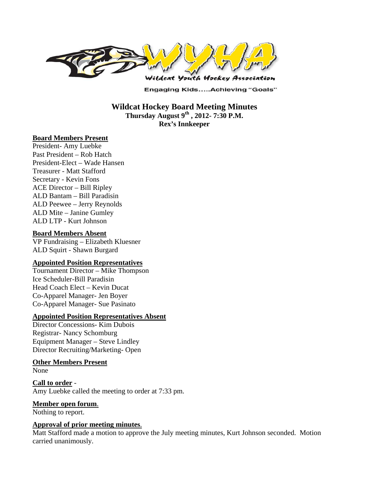

**Engaging Kids.....Achieving "Goals"** 

**Wildcat Hockey Board Meeting Minutes Thursday August 9th , 2012- 7:30 P.M. Rex's Innkeeper** 

## **Board Members Present**

President- Amy Luebke Past President – Rob Hatch President-Elect – Wade Hansen Treasurer - Matt Stafford Secretary - Kevin Fons ACE Director – Bill Ripley ALD Bantam – Bill Paradisin ALD Peewee – Jerry Reynolds ALD Mite – Janine Gumley ALD LTP - Kurt Johnson

### **Board Members Absent**

VP Fundraising – Elizabeth Kluesner ALD Squirt - Shawn Burgard

### **Appointed Position Representatives**

Tournament Director – Mike Thompson Ice Scheduler-Bill Paradisin Head Coach Elect – Kevin Ducat Co-Apparel Manager- Jen Boyer Co-Apparel Manager- Sue Pasinato

## **Appointed Position Representatives Absent**

Director Concessions- Kim Dubois Registrar- Nancy Schomburg Equipment Manager – Steve Lindley Director Recruiting/Marketing- Open

#### **Other Members Present**

None

**Call to order** - Amy Luebke called the meeting to order at 7:33 pm.

## **Member open forum**.

Nothing to report.

### **Approval of prior meeting minutes**.

Matt Stafford made a motion to approve the July meeting minutes, Kurt Johnson seconded. Motion carried unanimously.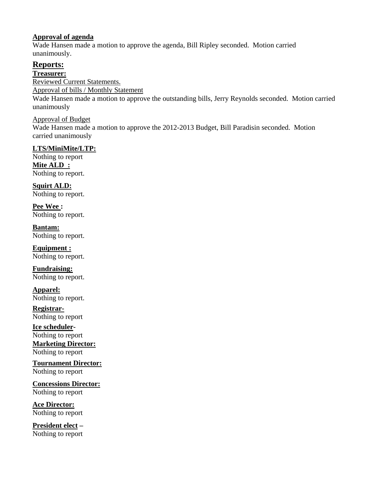## **Approval of agenda**

Wade Hansen made a motion to approve the agenda, Bill Ripley seconded. Motion carried unanimously.

# **Reports:**

**Treasurer:** 

Reviewed Current Statements.

Approval of bills / Monthly Statement

Wade Hansen made a motion to approve the outstanding bills, Jerry Reynolds seconded. Motion carried unanimously

## Approval of Budget

Wade Hansen made a motion to approve the 2012-2013 Budget, Bill Paradisin seconded. Motion carried unanimously

# **LTS/MiniMite/LTP:**

Nothing to report **Mite ALD :**  Nothing to report.

**Squirt ALD:**  Nothing to report.

**Pee Wee :**  Nothing to report.

**Bantam:**  Nothing to report.

**Equipment :**  Nothing to report.

**Fundraising:**  Nothing to report.

**Apparel:**  Nothing to report.

**Registrar-**Nothing to report

**Ice scheduler-**Nothing to report **Marketing Director:** Nothing to report

**Tournament Director:** Nothing to report

**Concessions Director:** Nothing to report

**Ace Director:**  Nothing to report

**President elect –** Nothing to report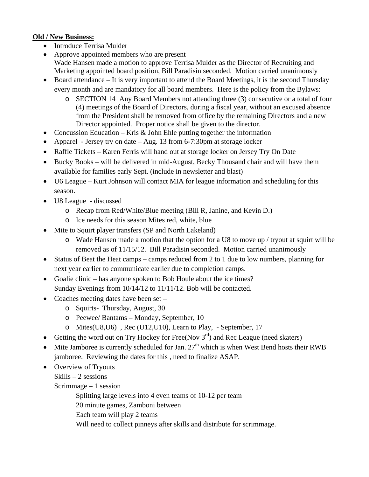# **Old / New Business:**

- Introduce Terrisa Mulder
- Approve appointed members who are present Wade Hansen made a motion to approve Terrisa Mulder as the Director of Recruiting and Marketing appointed board position, Bill Paradisin seconded. Motion carried unanimously
- Board attendance It is very important to attend the Board Meetings, it is the second Thursday every month and are mandatory for all board members. Here is the policy from the Bylaws:
	- o SECTION 14 Any Board Members not attending three (3) consecutive or a total of four (4) meetings of the Board of Directors, during a fiscal year, without an excused absence from the President shall be removed from office by the remaining Directors and a new Director appointed. Proper notice shall be given to the director.
- Concussion Education Kris  $\&$  John Ehle putting together the information
- Apparel Jersey try on date Aug. 13 from 6-7:30pm at storage locker
- Raffle Tickets Karen Ferris will hand out at storage locker on Jersey Try On Date
- Bucky Books will be delivered in mid-August, Becky Thousand chair and will have them available for families early Sept. (include in newsletter and blast)
- U6 League Kurt Johnson will contact MIA for league information and scheduling for this season.
- U8 League discussed
	- o Recap from Red/White/Blue meeting (Bill R, Janine, and Kevin D.)
	- o Ice needs for this season Mites red, white, blue
- Mite to Squirt player transfers (SP and North Lakeland)
	- $\circ$  Wade Hansen made a motion that the option for a U8 to move up / tryout at squirt will be removed as of 11/15/12. Bill Paradisin seconded. Motion carried unanimously
- Status of Beat the Heat camps camps reduced from 2 to 1 due to low numbers, planning for next year earlier to communicate earlier due to completion camps.
- Goalie clinic has anyone spoken to Bob Houle about the ice times? Sunday Evenings from 10/14/12 to 11/11/12. Bob will be contacted.
- Coaches meeting dates have been set
	- o Squirts- Thursday, August, 30
	- o Peewee/ Bantams Monday, September, 10
	- o Mites(U8,U6) , Rec (U12,U10), Learn to Play, September, 17
- Getting the word out on Try Hockey for Free(Nov  $3<sup>rd</sup>$ ) and Rec League (need skaters)
- $\bullet$  Mite Jamboree is currently scheduled for Jan. 27<sup>th</sup> which is when West Bend hosts their RWB jamboree. Reviewing the dates for this , need to finalize ASAP.
- Overview of Tryouts

Skills – 2 sessions

Scrimmage  $-1$  session

Splitting large levels into 4 even teams of 10-12 per team

- 20 minute games, Zamboni between
- Each team will play 2 teams
- Will need to collect pinneys after skills and distribute for scrimmage.